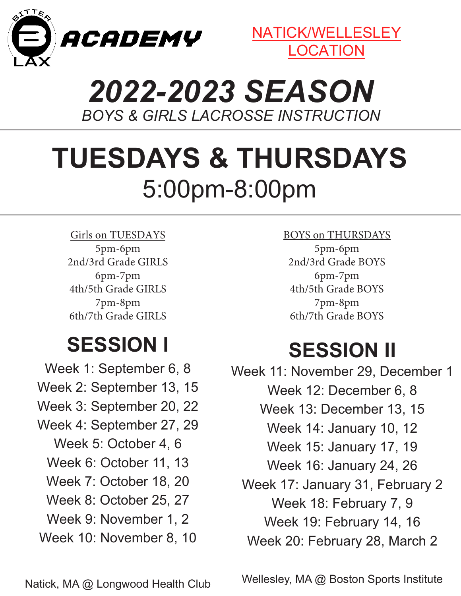



## *2022-2023 SEASON BOYS & GIRLS LACROSSE INSTRUCTION*

# **TUESDAYS & THURSDAYS** 5:00pm-8:00pm

Girls on TUESDAYS 5pm-6pm 2nd/3rd Grade GIRLS 6pm-7pm 4th/5th Grade GIRLS 7pm-8pm 6th/7th Grade GIRLS

## **SESSION I**

Week 1: September 6, 8 Week 2: September 13, 15 Week 3: September 20, 22 Week 4: September 27, 29 Week 5: October 4, 6 Week 6: October 11, 13 Week 7: October 18, 20 Week 8: October 25, 27 Week 9: November 1, 2 Week 10: November 8, 10

BOYS on THURSDAYS 5pm-6pm 2nd/3rd Grade BOYS 6pm-7pm 4th/5th Grade BOYS 7pm-8pm 6th/7th Grade BOYS

### **SESSION II**

Week 11: November 29, December 1 Week 12: December 6, 8 Week 13: December 13, 15 Week 14: January 10, 12 Week 15: January 17, 19 Week 16: January 24, 26 Week 17: January 31, February 2 Week 18: February 7, 9 Week 19: February 14, 16 Week 20: February 28, March 2

Wellesley, MA @ Boston Sports Institute